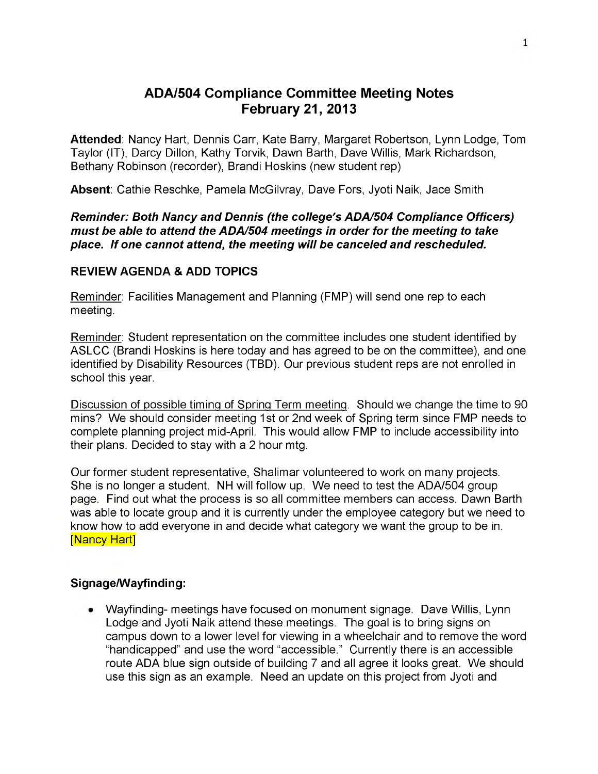# **ADA/504 Compliance Committee Meeting Notes February 21, 2013**

**Attended**: Nancy Hart, Dennis Carr, Kate Barry, Margaret Robertson, Lynn Lodge, Tom Taylor (IT), Darcy Dillon, Kathy Torvik, Dawn Barth, Dave Willis, Mark Richardson, Bethany Robinson (recorder), Brandi Hoskins (new student rep)

**Absent**: Cathie Reschke, Pamela McGilvray, Dave Fors, Jyoti Naik, Jace Smith

## *Reminder: Both Nancy and Dennis (the college's ADA/504 Compliance Officers) must be able to attend the ADA/504 meetings in order for the meeting to take place. If one cannot attend, the meeting will be canceled and rescheduled.*

#### **REVIEW AGENDA & ADD TOPICS**

Reminder: Facilities Management and Planning (FMP) will send one rep to each meeting.

Reminder: Student representation on the committee includes one student identified by ASLCC (Brandi Hoskins is here today and has agreed to be on the committee), and one identified by Disability Resources (TBD). Our previous student reps are not enrolled in school this year.

Discussion of possible timing of Spring Term meeting. Should we change the time to 90 mins? We should consider meeting 1st or 2nd week of Spring term since FMP needs to complete planning project mid-April. This would allow FMP to include accessibility into their plans. Decided to stay with a 2 hour mtg.

Our former student representative, Shalimar volunteered to work on many projects. She is no longer a student. NH will follow up. We need to test the ADA/504 group page. Find out what the process is so all committee members can access. Dawn Barth was able to locate group and it is currently under the employee category but we need to know how to add everyone in and decide what category we want the group to be in. [Nancy Hart]

#### **Signage/Wayfinding:**

Wayfinding- meetings have focused on monument signage. Dave Willis, Lynn Lodge and Jyoti Naik attend these meetings. The goal is to bring signs on campus down to a lower level for viewing in a wheelchair and to remove the word "handicapped" and use the word "accessible." Currently there is an accessible route ADA blue sign outside of building 7 and all agree it looks great. We should use this sign as an example. Need an update on this project from Jyoti and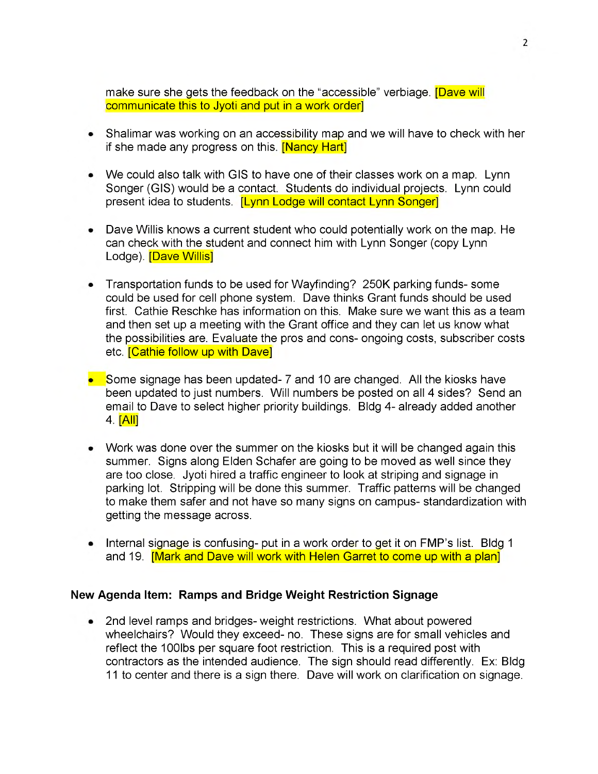make sure she gets the feedback on the "accessible" verbiage. **[Dave will** communicate this to Jyoti and put in a work order]

- Shalimar was working on an accessibility map and we will have to check with her if she made any progress on this. **[Nancy Hart]**
- We could also talk with GIS to have one of their classes work on a map. Lynn Songer (GIS) would be a contact. Students do individual projects. Lynn could present idea to students. [Lynn Lodge will contact Lynn Songer]
- Dave Willis knows a current student who could potentially work on the map. He can check with the student and connect him with Lynn Songer (copy Lynn Lodge). **[Dave Willis]**
- Transportation funds to be used for Wayfinding? 250K parking funds- some could be used for cell phone system. Dave thinks Grant funds should be used first. Cathie Reschke has information on this. Make sure we want this as a team and then set up a meeting with the Grant office and they can let us know what the possibilities are. Evaluate the pros and cons- ongoing costs, subscriber costs etc. **[Cathie follow up with Dave]**
- Some signage has been updated- 7 and 10 are changed. All the kiosks have been updated to just numbers. Will numbers be posted on all 4 sides? Send an email to Dave to select higher priority buildings. Bldg 4- already added another 4. [All]
- Work was done over the summer on the kiosks but it will be changed again this summer. Signs along Elden Schafer are going to be moved as well since they are too close. Jyoti hired a traffic engineer to look at striping and signage in parking lot. Stripping will be done this summer. Traffic patterns will be changed to make them safer and not have so many signs on campus- standardization with getting the message across.
- Internal signage is confusing- put in a work order to get it on FMP's list. Bldg 1 and 19. **[Mark and Dave will work with Helen Garret to come up with a plan]**

#### **New Agenda Item: Ramps and Bridge Weight Restriction Signage**

2nd level ramps and bridges- weight restrictions. What about powered wheelchairs? Would they exceed- no. These signs are for small vehicles and reflect the 100lbs per square foot restriction. This is a required post with contractors as the intended audience. The sign should read differently. Ex: Bldg 11 to center and there is a sign there. Dave will work on clarification on signage.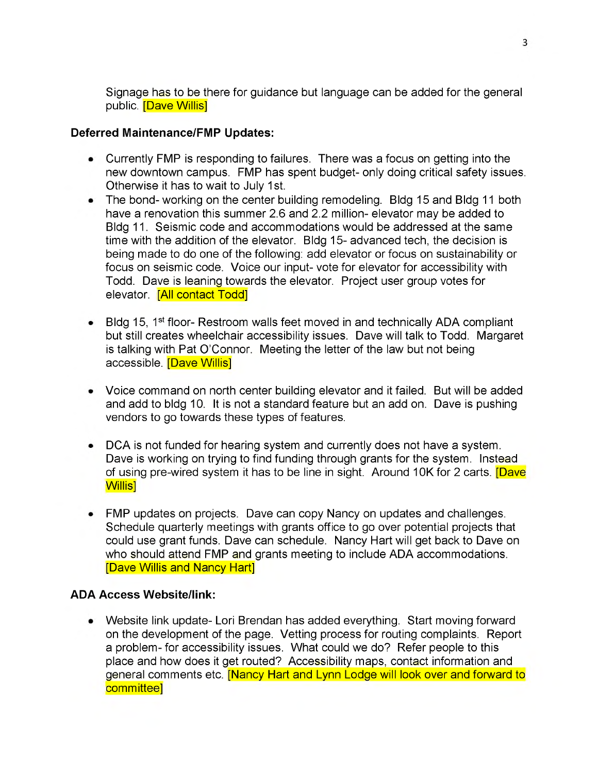Signage has to be there for guidance but language can be added for the general public. **[Dave Willis]** 

## **Deferred Maintenance/FMP Updates:**

- Currently FMP is responding to failures. There was a focus on getting into the new downtown campus. FMP has spent budget- only doing critical safety issues. Otherwise it has to wait to July 1st.
- The bond- working on the center building remodeling. Bldg 15 and Bldg 11 both have a renovation this summer 2.6 and 2.2 million- elevator may be added to Bldg 11. Seismic code and accommodations would be addressed at the same time with the addition of the elevator. Bldg 15- advanced tech, the decision is being made to do one of the following: add elevator or focus on sustainability or focus on seismic code. Voice our input- vote for elevator for accessibility with Todd. Dave is leaning towards the elevator. Project user group votes for elevator. [All contact Todd]
- $\bullet$  Bldg 15, 1<sup>st</sup> floor- Restroom walls feet moved in and technically ADA compliant but still creates wheelchair accessibility issues. Dave will talk to Todd. Margaret is talking with Pat O'Connor. Meeting the letter of the law but not being accessible. [Dave Willis]
- Voice command on north center building elevator and it failed. But will be added and add to bldg 10. It is not a standard feature but an add on. Dave is pushing vendors to go towards these types of features.
- DCA is not funded for hearing system and currently does not have a system. Dave is working on trying to find funding through grants for the system. Instead of using pre-wired system it has to be line in sight. Around 10K for 2 carts. **[Dave**] Willis]
- FMP updates on projects. Dave can copy Nancy on updates and challenges. Schedule quarterly meetings with grants office to go over potential projects that could use grant funds. Dave can schedule. Nancy Hart will get back to Dave on who should attend FMP and grants meeting to include ADA accommodations. [Dave Willis and Nancy Hart]

## **ADA Access Website/link:**

Website link update- Lori Brendan has added everything. Start moving forward on the development of the page. Vetting process for routing complaints. Report a problem- for accessibility issues. What could we do? Refer people to this place and how does it get routed? Accessibility maps, contact information and general comments etc. [Nancy Hart and Lynn Lodge will look over and forward to committee]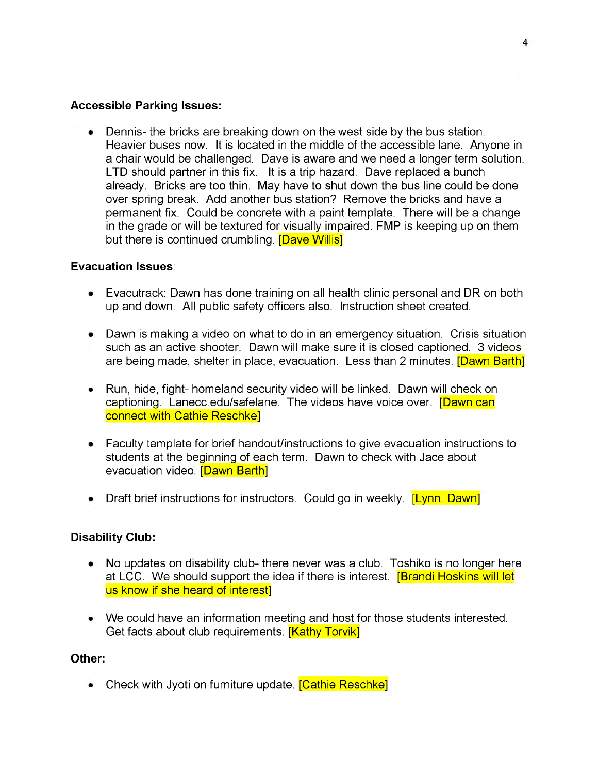## **Accessible Parking Issues:**

Dennis- the bricks are breaking down on the west side by the bus station. Heavier buses now. It is located in the middle of the accessible lane. Anyone in a chair would be challenged. Dave is aware and we need a longer term solution. LTD should partner in this fix. It is a trip hazard. Dave replaced a bunch already. Bricks are too thin. May have to shut down the bus line could be done over spring break. Add another bus station? Remove the bricks and have a permanent fix. Could be concrete with a paint template. There will be a change in the grade or will be textured for visually impaired. FMP is keeping up on them but there is continued crumbling. **[Dave Willis]** 

## **Evacuation Issues**:

- Evacutrack: Dawn has done training on all health clinic personal and DR on both up and down. All public safety officers also. Instruction sheet created.
- Dawn is making a video on what to do in an emergency situation. Crisis situation such as an active shooter. Dawn will make sure it is closed captioned. 3 videos are being made, shelter in place, evacuation. Less than 2 minutes. **[Dawn Barth]**
- Run, hide, fight- homeland security video will be linked. Dawn will check on captioning. [Lanecc.edu/safelane.](Lanecc.edu/safelane) The videos have voice over. **[Dawn can**] connect with Cathie Reschke]
- Faculty template for brief handout/instructions to give evacuation instructions to students at the beginning of each term. Dawn to check with Jace about evacuation video. **[Dawn Barth]**
- Draft brief instructions for instructors. Could go in weekly. **[Lynn, Dawn]**

# **Disability Club:**

- No updates on disability club- there never was a club. Toshiko is no longer here at LCC. We should support the idea if there is interest. **[Brandi Hoskins will let**] us know if she heard of interest]
- We could have an information meeting and host for those students interested. Get facts about club requirements. **[Kathy Torvik]**

## **Other:**

• Check with Jyoti on furniture update. **[Cathie Reschke]**